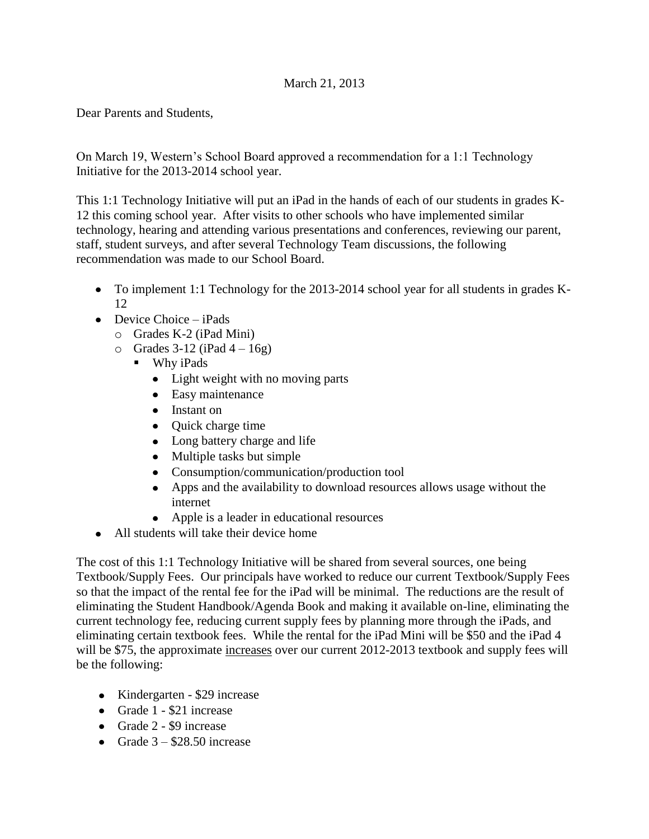## March 21, 2013

Dear Parents and Students,

On March 19, Western's School Board approved a recommendation for a 1:1 Technology Initiative for the 2013-2014 school year.

This 1:1 Technology Initiative will put an iPad in the hands of each of our students in grades K-12 this coming school year. After visits to other schools who have implemented similar technology, hearing and attending various presentations and conferences, reviewing our parent, staff, student surveys, and after several Technology Team discussions, the following recommendation was made to our School Board.

- To implement 1:1 Technology for the 2013-2014 school year for all students in grades K-12
- $\bullet$  Device Choice iPads
	- o Grades K-2 (iPad Mini)
	- $\circ$  Grades 3-12 (iPad 4 16g)
		- **Why iPads** 
			- Light weight with no moving parts
			- Easy maintenance
			- Instant on
			- Quick charge time
			- Long battery charge and life
			- Multiple tasks but simple
			- Consumption/communication/production tool
			- Apps and the availability to download resources allows usage without the internet
			- Apple is a leader in educational resources
- All students will take their device home

The cost of this 1:1 Technology Initiative will be shared from several sources, one being Textbook/Supply Fees. Our principals have worked to reduce our current Textbook/Supply Fees so that the impact of the rental fee for the iPad will be minimal. The reductions are the result of eliminating the Student Handbook/Agenda Book and making it available on-line, eliminating the current technology fee, reducing current supply fees by planning more through the iPads, and eliminating certain textbook fees. While the rental for the iPad Mini will be \$50 and the iPad 4 will be \$75, the approximate increases over our current 2012-2013 textbook and supply fees will be the following:

- Kindergarten \$29 increase
- Grade 1 \$21 increase
- Grade 2 \$9 increase
- Grade  $3 $28.50$  increase